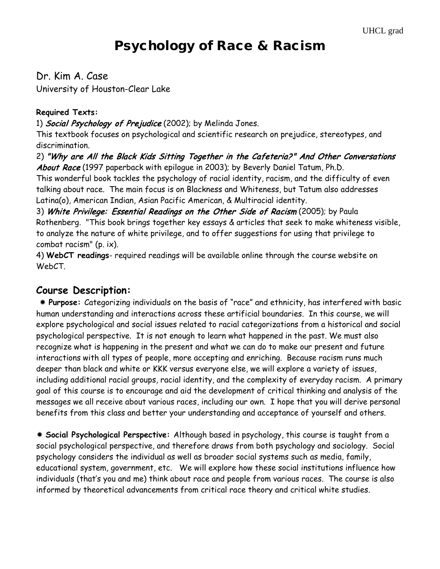# Psychology of Race & Racism

Dr. Kim A. Case

University of Houston-Clear Lake

### **Required Texts:**

1) Social Psychology of Prejudice (2002); by Melinda Jones.

This textbook focuses on psychological and scientific research on prejudice, stereotypes, and discrimination.

2) "Why are All the Black Kids Sitting Together in the Cafeteria?" And Other Conversations About Race (1997 paperback with epiloque in 2003); by Beverly Daniel Tatum, Ph.D.

This wonderful book tackles the psychology of racial identity, racism, and the difficulty of even talking about race. The main focus is on Blackness and Whiteness, but Tatum also addresses Latina(o), American Indian, Asian Pacific American, & Multiracial identity.

3) White Privilege: Essential Readings on the Other Side of Racism (2005); by Paula Rothenberg. "This book brings together key essays & articles that seek to make whiteness visible, to analyze the nature of white privilege, and to offer suggestions for using that privilege to combat racism" (p. ix).

4) **WebCT readings**- required readings will be available online through the course website on WebCT.

# **Course Description:**

 **Purpose:** Categorizing individuals on the basis of "race" and ethnicity, has interfered with basic human understanding and interactions across these artificial boundaries. In this course, we will explore psychological and social issues related to racial categorizations from a historical and social psychological perspective. It is not enough to learn what happened in the past. We must also recognize what is happening in the present and what we can do to make our present and future interactions with all types of people, more accepting and enriching. Because racism runs much deeper than black and white or KKK versus everyone else, we will explore a variety of issues, including additional racial groups, racial identity, and the complexity of everyday racism. A primary goal of this course is to encourage and aid the development of critical thinking and analysis of the messages we all receive about various races, including our own. I hope that you will derive personal benefits from this class and better your understanding and acceptance of yourself and others.

 **Social Psychological Perspective:** Although based in psychology, this course is taught from a social psychological perspective, and therefore draws from both psychology and sociology. Social psychology considers the individual as well as broader social systems such as media, family, educational system, government, etc. We will explore how these social institutions influence how individuals (that's you and me) think about race and people from various races. The course is also informed by theoretical advancements from critical race theory and critical white studies.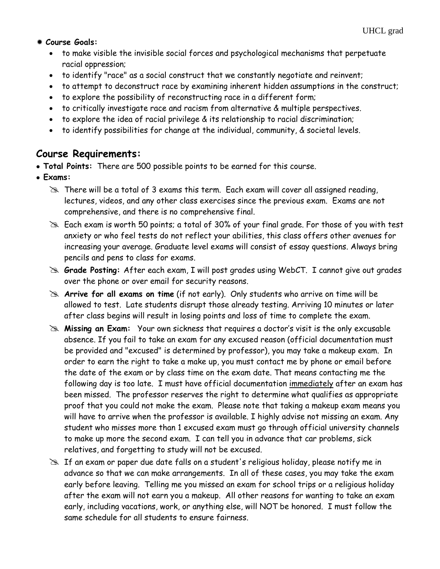#### **Course Goals:**

- to make visible the invisible social forces and psychological mechanisms that perpetuate racial oppression;
- to identify "race" as a social construct that we constantly negotiate and reinvent;
- to attempt to deconstruct race by examining inherent hidden assumptions in the construct;
- to explore the possibility of reconstructing race in a different form;
- to critically investigate race and racism from alternative & multiple perspectives.
- to explore the idea of racial privilege & its relationship to racial discrimination;
- to identify possibilities for change at the individual, community, & societal levels.

## **Course Requirements:**

- **Total Points:** There are 500 possible points to be earned for this course.
- **Exams:** 
	- $\gg$  There will be a total of 3 exams this term. Each exam will cover all assigned reading, lectures, videos, and any other class exercises since the previous exam. Exams are not comprehensive, and there is no comprehensive final.
	- Each exam is worth 50 points; a total of 30% of your final grade. For those of you with test anxiety or who feel tests do not reflect your abilities, this class offers other avenues for increasing your average. Graduate level exams will consist of essay questions. Always bring pencils and pens to class for exams.
	- **Grade Posting:** After each exam, I will post grades using WebCT. I cannot give out grades over the phone or over email for security reasons.
	- **Arrive for all exams on time** (if not early). Only students who arrive on time will be allowed to test. Late students disrupt those already testing. Arriving 10 minutes or later after class begins will result in losing points and loss of time to complete the exam.
	- **Missing an Exam:** Your own sickness that requires a doctor's visit is the only excusable absence. If you fail to take an exam for any excused reason (official documentation must be provided and "excused" is determined by professor), you may take a makeup exam. In order to earn the right to take a make up, you must contact me by phone or email before the date of the exam or by class time on the exam date. That means contacting me the following day is too late. I must have official documentation immediately after an exam has been missed. The professor reserves the right to determine what qualifies as appropriate proof that you could not make the exam. Please note that taking a makeup exam means you will have to arrive when the professor is available. I highly advise not missing an exam. Any student who misses more than 1 excused exam must go through official university channels to make up more the second exam. I can tell you in advance that car problems, sick relatives, and forgetting to study will not be excused.
	- If an exam or paper due date falls on a student's religious holiday, please notify me in advance so that we can make arrangements. In all of these cases, you may take the exam early before leaving. Telling me you missed an exam for school trips or a religious holiday after the exam will not earn you a makeup. All other reasons for wanting to take an exam early, including vacations, work, or anything else, will NOT be honored. I must follow the same schedule for all students to ensure fairness.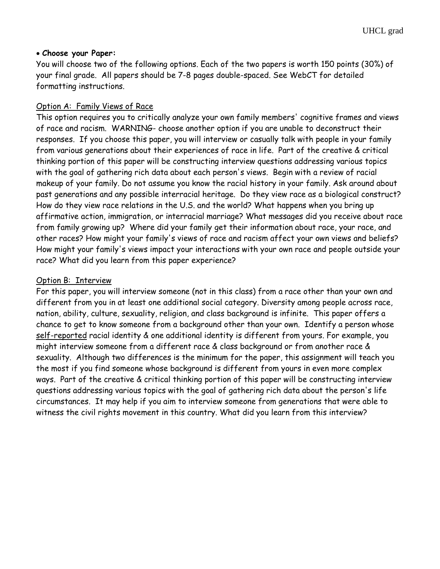#### • **Choose your Paper:**

You will choose two of the following options. Each of the two papers is worth 150 points (30%) of your final grade. All papers should be 7-8 pages double-spaced. See WebCT for detailed formatting instructions.

#### Option A: Family Views of Race

This option requires you to critically analyze your own family members' cognitive frames and views of race and racism. WARNING- choose another option if you are unable to deconstruct their responses. If you choose this paper, you will interview or casually talk with people in your family from various generations about their experiences of race in life. Part of the creative & critical thinking portion of this paper will be constructing interview questions addressing various topics with the goal of gathering rich data about each person's views. Begin with a review of racial makeup of your family. Do not assume you know the racial history in your family. Ask around about past generations and any possible interracial heritage. Do they view race as a biological construct? How do they view race relations in the U.S. and the world? What happens when you bring up affirmative action, immigration, or interracial marriage? What messages did you receive about race from family growing up? Where did your family get their information about race, your race, and other races? How might your family's views of race and racism affect your own views and beliefs? How might your family's views impact your interactions with your own race and people outside your race? What did you learn from this paper experience?

#### Option B: Interview

For this paper, you will interview someone (not in this class) from a race other than your own and different from you in at least one additional social category. Diversity among people across race, nation, ability, culture, sexuality, religion, and class background is infinite. This paper offers a chance to get to know someone from a background other than your own. Identify a person whose self-reported racial identity & one additional identity is different from yours. For example, you might interview someone from a different race & class background or from another race & sexuality. Although two differences is the minimum for the paper, this assignment will teach you the most if you find someone whose background is different from yours in even more complex ways. Part of the creative & critical thinking portion of this paper will be constructing interview questions addressing various topics with the goal of gathering rich data about the person's life circumstances. It may help if you aim to interview someone from generations that were able to witness the civil rights movement in this country. What did you learn from this interview?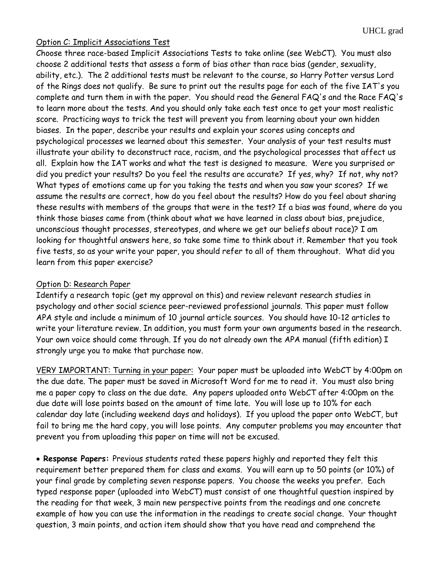#### Option C: Implicit Associations Test

Choose three race-based Implicit Associations Tests to take online (see WebCT). You must also choose 2 additional tests that assess a form of bias other than race bias (gender, sexuality, ability, etc.). The 2 additional tests must be relevant to the course, so Harry Potter versus Lord of the Rings does not qualify. Be sure to print out the results page for each of the five IAT's you complete and turn them in with the paper. You should read the General FAQ's and the Race FAQ's to learn more about the tests. And you should only take each test once to get your most realistic score. Practicing ways to trick the test will prevent you from learning about your own hidden biases. In the paper, describe your results and explain your scores using concepts and psychological processes we learned about this semester. Your analysis of your test results must illustrate your ability to deconstruct race, racism, and the psychological processes that affect us all. Explain how the IAT works and what the test is designed to measure. Were you surprised or did you predict your results? Do you feel the results are accurate? If yes, why? If not, why not? What types of emotions came up for you taking the tests and when you saw your scores? If we assume the results are correct, how do you feel about the results? How do you feel about sharing these results with members of the groups that were in the test? If a bias was found, where do you think those biases came from (think about what we have learned in class about bias, prejudice, unconscious thought processes, stereotypes, and where we get our beliefs about race)? I am looking for thoughtful answers here, so take some time to think about it. Remember that you took five tests, so as your write your paper, you should refer to all of them throughout. What did you learn from this paper exercise?

#### Option D: Research Paper

Identify a research topic (get my approval on this) and review relevant research studies in psychology and other social science peer-reviewed professional journals. This paper must follow APA style and include a minimum of 10 journal article sources. You should have 10-12 articles to write your literature review. In addition, you must form your own arguments based in the research. Your own voice should come through. If you do not already own the APA manual (fifth edition) I strongly urge you to make that purchase now.

VERY IMPORTANT: Turning in your paper: Your paper must be uploaded into WebCT by 4:00pm on the due date. The paper must be saved in Microsoft Word for me to read it. You must also bring me a paper copy to class on the due date. Any papers uploaded onto WebCT after 4:00pm on the due date will lose points based on the amount of time late. You will lose up to 10% for each calendar day late (including weekend days and holidays). If you upload the paper onto WebCT, but fail to bring me the hard copy, you will lose points. Any computer problems you may encounter that prevent you from uploading this paper on time will not be excused.

• **Response Papers:** Previous students rated these papers highly and reported they felt this requirement better prepared them for class and exams. You will earn up to 50 points (or 10%) of your final grade by completing seven response papers. You choose the weeks you prefer. Each typed response paper (uploaded into WebCT) must consist of one thoughtful question inspired by the reading for that week, 3 main new perspective points from the readings and one concrete example of how you can use the information in the readings to create social change. Your thought question, 3 main points, and action item should show that you have read and comprehend the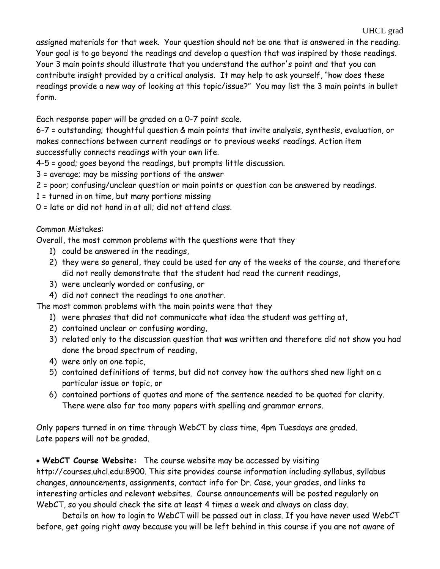assigned materials for that week. Your question should not be one that is answered in the reading. Your goal is to go beyond the readings and develop a question that was inspired by those readings. Your 3 main points should illustrate that you understand the author's point and that you can contribute insight provided by a critical analysis. It may help to ask yourself, "how does these readings provide a new way of looking at this topic/issue?" You may list the 3 main points in bullet form.

Each response paper will be graded on a 0-7 point scale.

6-7 = outstanding; thoughtful question & main points that invite analysis, synthesis, evaluation, or makes connections between current readings or to previous weeks' readings. Action item successfully connects readings with your own life.

4-5 = good; goes beyond the readings, but prompts little discussion.

- 3 = average; may be missing portions of the answer
- 2 = poor; confusing/unclear question or main points or question can be answered by readings.
- 1 = turned in on time, but many portions missing
- 0 = late or did not hand in at all; did not attend class.

Common Mistakes:

Overall, the most common problems with the questions were that they

- 1) could be answered in the readings,
- 2) they were so general, they could be used for any of the weeks of the course, and therefore did not really demonstrate that the student had read the current readings,
- 3) were unclearly worded or confusing, or
- 4) did not connect the readings to one another.

The most common problems with the main points were that they

- 1) were phrases that did not communicate what idea the student was getting at,
- 2) contained unclear or confusing wording,
- 3) related only to the discussion question that was written and therefore did not show you had done the broad spectrum of reading,
- 4) were only on one topic,
- 5) contained definitions of terms, but did not convey how the authors shed new light on a particular issue or topic, or
- 6) contained portions of quotes and more of the sentence needed to be quoted for clarity. There were also far too many papers with spelling and grammar errors.

Only papers turned in on time through WebCT by class time, 4pm Tuesdays are graded. Late papers will not be graded.

• **WebCT Course Website:** The course website may be accessed by visiting

http://courses.uhcl.edu:8900. This site provides course information including syllabus, syllabus changes, announcements, assignments, contact info for Dr. Case, your grades, and links to interesting articles and relevant websites. Course announcements will be posted regularly on WebCT, so you should check the site at least 4 times a week and always on class day.

Details on how to login to WebCT will be passed out in class. If you have never used WebCT before, get going right away because you will be left behind in this course if you are not aware of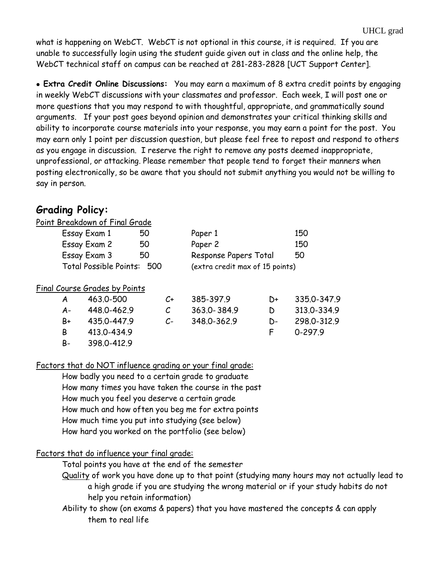what is happening on WebCT. WebCT is not optional in this course, it is required. If you are unable to successfully login using the student guide given out in class and the online help, the WebCT technical staff on campus can be reached at 281-283-2828 [UCT Support Center].

• **Extra Credit Online Discussions:** You may earn a maximum of 8 extra credit points by engaging in weekly WebCT discussions with your classmates and professor. Each week, I will post one or more questions that you may respond to with thoughtful, appropriate, and grammatically sound arguments. If your post goes beyond opinion and demonstrates your critical thinking skills and ability to incorporate course materials into your response, you may earn a point for the post. You may earn only 1 point per discussion question, but please feel free to repost and respond to others as you engage in discussion. I reserve the right to remove any posts deemed inappropriate, unprofessional, or attacking. Please remember that people tend to forget their manners when posting electronically, so be aware that you should not submit anything you would not be willing to say in person.

# **Grading Policy:**

| Point Breakdown of Final Grade |    |                                 |     |
|--------------------------------|----|---------------------------------|-----|
| Essay Exam 1                   | 50 | Paper 1                         | 150 |
| Essay Exam 2                   | 50 | Paper 2                         | 150 |
| Essay Exam 3                   | 50 | Response Papers Total           | 50  |
| Total Possible Points: 500     |    | (extra credit max of 15 points) |     |

#### Final Course Grades by Points

|      | 463.0-500   | $C_{\pm}$ | 385-397.9   | $D+$ | 335.0-347.9 |
|------|-------------|-----------|-------------|------|-------------|
| A-   | 448.0-462.9 |           | 363.0-384.9 | D    | 313.0-334.9 |
| $B+$ | 435.0-447.9 | $C_{\Xi}$ | 348.0-362.9 | $D-$ | 298.0-312.9 |
| R.   | 413.0-434.9 |           |             | r    | $0 - 297.9$ |
| B-   | 398.0-412.9 |           |             |      |             |

#### Factors that do NOT influence grading or your final grade:

How badly you need to a certain grade to graduate How many times you have taken the course in the past How much you feel you deserve a certain grade How much and how often you beg me for extra points How much time you put into studying (see below) How hard you worked on the portfolio (see below)

### Factors that do influence your final grade:

Total points you have at the end of the semester

- Quality of work you have done up to that point (studying many hours may not actually lead to a high grade if you are studying the wrong material or if your study habits do not help you retain information)
- Ability to show (on exams & papers) that you have mastered the concepts & can apply them to real life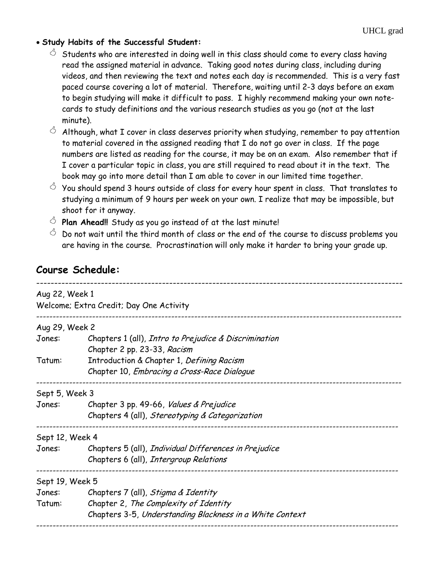#### • **Study Habits of the Successful Student:**

- $\heartsuit$  Students who are interested in doing well in this class should come to every class having read the assigned material in advance. Taking good notes during class, including during videos, and then reviewing the text and notes each day is recommended. This is a very fast paced course covering a lot of material. Therefore, waiting until 2-3 days before an exam to begin studying will make it difficult to pass. I highly recommend making your own notecards to study definitions and the various research studies as you go (not at the last minute).
- $\circlearrowleft$  Although, what I cover in class deserves priority when studying, remember to pay attention to material covered in the assigned reading that I do not go over in class. If the page numbers are listed as reading for the course, it may be on an exam. Also remember that if I cover a particular topic in class, you are still required to read about it in the text. The book may go into more detail than I am able to cover in our limited time together.
- $^\circlearrowleft$  You should spend 3 hours outside of class for every hour spent in class. That translates to studying a minimum of 9 hours per week on your own. I realize that may be impossible, but shoot for it anyway.
- $\circlearrowleft$  **Plan Ahead!!** Study as you go instead of at the last minute!
- $\circlearrowleft$  Do not wait until the third month of class or the end of the course to discuss problems you are having in the course. Procrastination will only make it harder to bring your grade up.

### **Course Schedule:**

| Aug 22, Week 1  | Welcome; Extra Credit; Day One Activity                  |
|-----------------|----------------------------------------------------------|
| Aug 29, Week 2  |                                                          |
| Jones:          | Chapters 1 (all), Intro to Prejudice & Discrimination    |
|                 | Chapter 2 pp. 23-33, Racism                              |
| Tatum:          | Introduction & Chapter 1, Defining Racism                |
|                 | Chapter 10, Embracing a Cross-Race Dialoque              |
| Sept 5, Week 3  |                                                          |
| Jones:          | Chapter 3 pp. 49-66, Values & Prejudice                  |
|                 | Chapters 4 (all), Stereotyping & Categorization          |
| Sept 12, Week 4 |                                                          |
| Jones:          | Chapters 5 (all), Individual Differences in Prejudice    |
|                 | Chapters 6 (all), Intergroup Relations                   |
| Sept 19, Week 5 |                                                          |
| Jones:          | Chapters 7 (all), Stigma & Identity                      |
| Tatum:          | Chapter 2, The Complexity of Identity                    |
|                 | Chapters 3-5, Understanding Blackness in a White Context |
|                 |                                                          |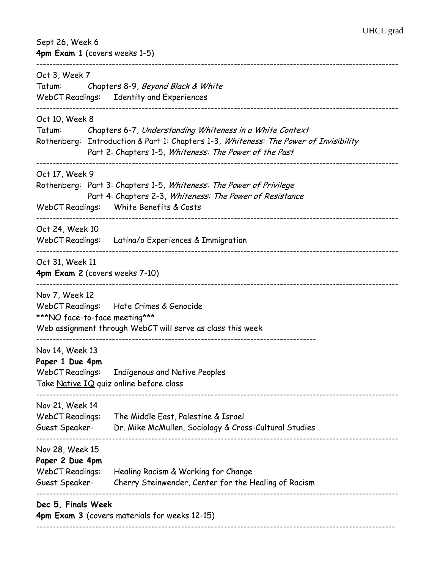| Sept 26, Week 6<br>4pm Exam 1 (covers weeks 1-5)                                                                                                                                                                                        |
|-----------------------------------------------------------------------------------------------------------------------------------------------------------------------------------------------------------------------------------------|
| Oct 3, Week 7<br>Tatum:<br>Chapters 8-9, Beyond Black & White<br>WebCT Readings: Identity and Experiences                                                                                                                               |
| Oct 10, Week 8<br>Tatum:<br>Chapters 6-7, Understanding Whiteness in a White Context<br>Rothenberg: Introduction & Part 1: Chapters 1-3, Whiteness: The Power of Invisibility<br>Part 2: Chapters 1-5, Whiteness: The Power of the Past |
| Oct 17, Week 9<br>Rothenberg: Part 3: Chapters 1-5, Whiteness: The Power of Privilege<br>Part 4: Chapters 2-3, Whiteness: The Power of Resistance<br>White Benefits & Costs<br>WebCT Readings:                                          |
| Oct 24, Week 10<br>WebCT Readings: Latina/o Experiences & Immigration                                                                                                                                                                   |
| Oct 31, Week 11<br>4pm Exam 2 (covers weeks 7-10)                                                                                                                                                                                       |
| Nov 7, Week 12<br>WebCT Readings: Hate Crimes & Genocide<br>***NO face-to-face meeting***<br>Web assignment through WebCT will serve as class this week                                                                                 |
| Nov 14, Week 13<br>Paper 1 Due 4pm<br>WebCT Readings:<br>Indigenous and Native Peoples<br>Take Native IQ quiz online before class                                                                                                       |
| Nov 21, Week 14<br>WebCT Readings:<br>The Middle East, Palestine & Israel<br>Guest Speaker-<br>Dr. Mike McMullen, Sociology & Cross-Cultural Studies                                                                                    |
| Nov 28, Week 15<br>Paper 2 Due 4pm<br>WebCT Readings:<br>Healing Racism & Working for Change<br>Guest Speaker-<br>Cherry Steinwender, Center for the Healing of Racism                                                                  |
| Dec 5, Finals Week<br>4pm Exam 3 (covers materials for weeks 12-15)                                                                                                                                                                     |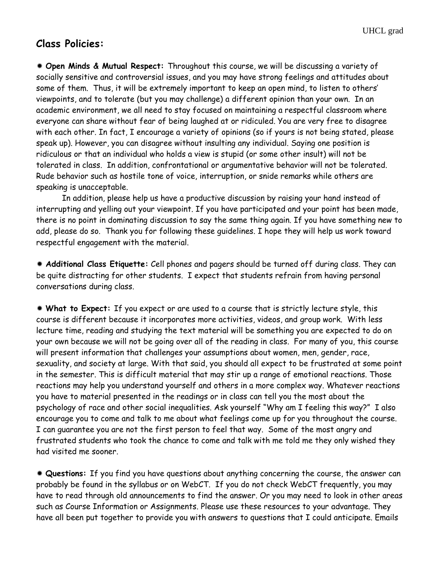# **Class Policies:**

 **Open Minds & Mutual Respect:** Throughout this course, we will be discussing a variety of socially sensitive and controversial issues, and you may have strong feelings and attitudes about some of them. Thus, it will be extremely important to keep an open mind, to listen to others' viewpoints, and to tolerate (but you may challenge) a different opinion than your own. In an academic environment, we all need to stay focused on maintaining a respectful classroom where everyone can share without fear of being laughed at or ridiculed. You are very free to disagree with each other. In fact, I encourage a variety of opinions (so if yours is not being stated, please speak up). However, you can disagree without insulting any individual. Saying one position is ridiculous or that an individual who holds a view is stupid (or some other insult) will not be tolerated in class. In addition, confrontational or argumentative behavior will not be tolerated. Rude behavior such as hostile tone of voice, interruption, or snide remarks while others are speaking is unacceptable.

In addition, please help us have a productive discussion by raising your hand instead of interrupting and yelling out your viewpoint. If you have participated and your point has been made, there is no point in dominating discussion to say the same thing again. If you have something new to add, please do so. Thank you for following these guidelines. I hope they will help us work toward respectful engagement with the material.

 **Additional Class Etiquette:** Cell phones and pagers should be turned off during class. They can be quite distracting for other students. I expect that students refrain from having personal conversations during class.

 **What to Expect:** If you expect or are used to a course that is strictly lecture style, this course is different because it incorporates more activities, videos, and group work. With less lecture time, reading and studying the text material will be something you are expected to do on your own because we will not be going over all of the reading in class. For many of you, this course will present information that challenges your assumptions about women, men, gender, race, sexuality, and society at large. With that said, you should all expect to be frustrated at some point in the semester. This is difficult material that may stir up a range of emotional reactions. Those reactions may help you understand yourself and others in a more complex way. Whatever reactions you have to material presented in the readings or in class can tell you the most about the psychology of race and other social inequalities. Ask yourself "Why am I feeling this way?" I also encourage you to come and talk to me about what feelings come up for you throughout the course. I can guarantee you are not the first person to feel that way. Some of the most angry and frustrated students who took the chance to come and talk with me told me they only wished they had visited me sooner.

 **Questions:** If you find you have questions about anything concerning the course, the answer can probably be found in the syllabus or on WebCT. If you do not check WebCT frequently, you may have to read through old announcements to find the answer. Or you may need to look in other areas such as Course Information or Assignments. Please use these resources to your advantage. They have all been put together to provide you with answers to questions that I could anticipate. Emails